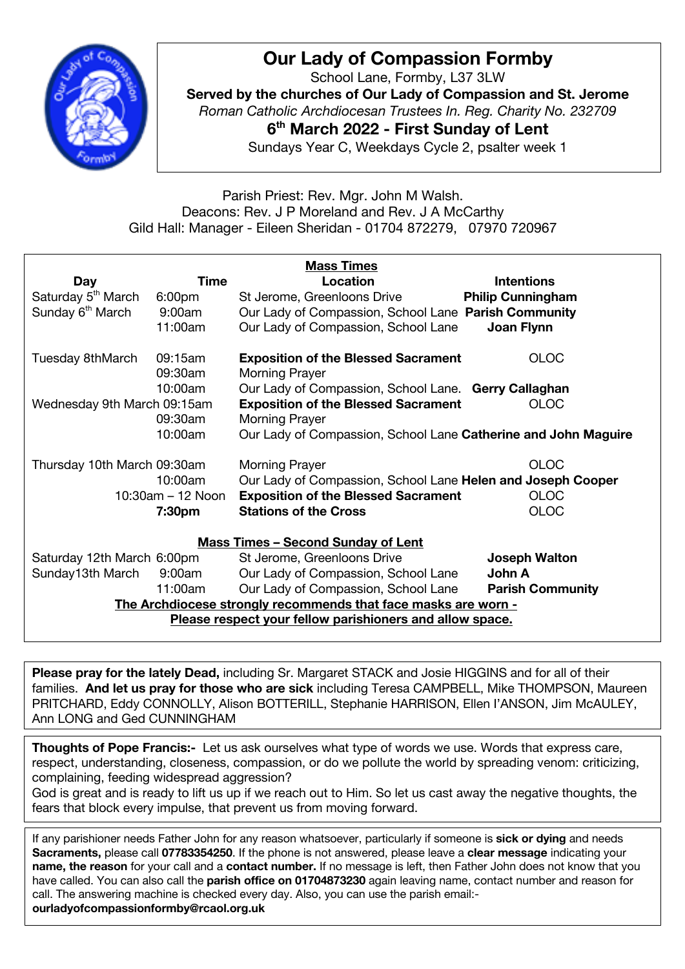

## **Our Lady of Compassion Formby**

School Lane, Formby, L37 3LW **Served by the churches of Our Lady of Compassion and St. Jerome** *Roman Catholic Archdiocesan Trustees In. Reg. Charity No. 232709* **6th March 2022 - First Sunday of Lent** Sundays Year C, Weekdays Cycle 2, psalter week 1

Parish Priest: Rev. Mgr. John M Walsh. Deacons: Rev. J P Moreland and Rev. J A McCarthy Gild Hall: Manager - Eileen Sheridan - 01704 872279, 07970 720967

| <b>Mass Times</b>                                              |                                                                     |                                                                                                                 |
|----------------------------------------------------------------|---------------------------------------------------------------------|-----------------------------------------------------------------------------------------------------------------|
| <b>Time</b>                                                    | Location                                                            | <b>Intentions</b>                                                                                               |
| 6:00 <sub>pm</sub>                                             | St Jerome, Greenloons Drive                                         | <b>Philip Cunningham</b>                                                                                        |
| 9:00am                                                         | Our Lady of Compassion, School Lane Parish Community                |                                                                                                                 |
| 11:00am                                                        | Our Lady of Compassion, School Lane                                 | Joan Flynn                                                                                                      |
| 09:15am<br>09:30am                                             | <b>Exposition of the Blessed Sacrament</b><br><b>Morning Prayer</b> | <b>OLOC</b>                                                                                                     |
| 10:00am                                                        | Our Lady of Compassion, School Lane. Gerry Callaghan                |                                                                                                                 |
| Wednesday 9th March 09:15am                                    | <b>Exposition of the Blessed Sacrament</b>                          | <b>OLOC</b>                                                                                                     |
| 09:30am                                                        | <b>Morning Prayer</b>                                               |                                                                                                                 |
| 10:00am                                                        | Our Lady of Compassion, School Lane Catherine and John Maguire      |                                                                                                                 |
| Thursday 10th March 09:30am                                    | <b>Morning Prayer</b>                                               | <b>OLOC</b>                                                                                                     |
| 10:00am                                                        | Our Lady of Compassion, School Lane Helen and Joseph Cooper         |                                                                                                                 |
| 10:30am - 12 Noon                                              | <b>Exposition of the Blessed Sacrament</b>                          | <b>OLOC</b>                                                                                                     |
| 7:30pm                                                         | <b>Stations of the Cross</b>                                        | <b>OLOC</b>                                                                                                     |
|                                                                |                                                                     |                                                                                                                 |
|                                                                |                                                                     | <b>Joseph Walton</b>                                                                                            |
| 9:00am                                                         |                                                                     | John A                                                                                                          |
| 11:00am                                                        | Our Lady of Compassion, School Lane                                 | <b>Parish Community</b>                                                                                         |
| The Archdiocese strongly recommends that face masks are worn - |                                                                     |                                                                                                                 |
| Please respect your fellow parishioners and allow space.       |                                                                     |                                                                                                                 |
|                                                                | Saturday 12th March 6:00pm                                          | <b>Mass Times - Second Sunday of Lent</b><br>St Jerome, Greenloons Drive<br>Our Lady of Compassion, School Lane |

**Please pray for the lately Dead,** including Sr. Margaret STACK and Josie HIGGINS and for all of their families. **And let us pray for those who are sick** including Teresa CAMPBELL, Mike THOMPSON, Maureen PRITCHARD, Eddy CONNOLLY, Alison BOTTERILL, Stephanie HARRISON, Ellen I'ANSON, Jim McAULEY, Ann LONG and Ged CUNNINGHAM

**Thoughts of Pope Francis:-** Let us ask ourselves what type of words we use. Words that express care, respect, understanding, closeness, compassion, or do we pollute the world by spreading venom: criticizing, complaining, feeding widespread aggression?

God is great and is ready to lift us up if we reach out to Him. So let us cast away the negative thoughts, the fears that block every impulse, that prevent us from moving forward.

have called. You can also call the **parish office on 01704873230** again leaving name, contact number and reason for If any parishioner needs Father John for any reason whatsoever, particularly if someone is **sick or dying** and needs **Sacraments,** please call **07783354250**. If the phone is not answered, please leave a **clear message** indicating your **name, the reason** for your call and a **contact number.** If no message is left, then Father John does not know that you call. The answering machine is checked every day. Also, you can use the parish email: **ourladyofcompassionformby@rcaol.org.uk**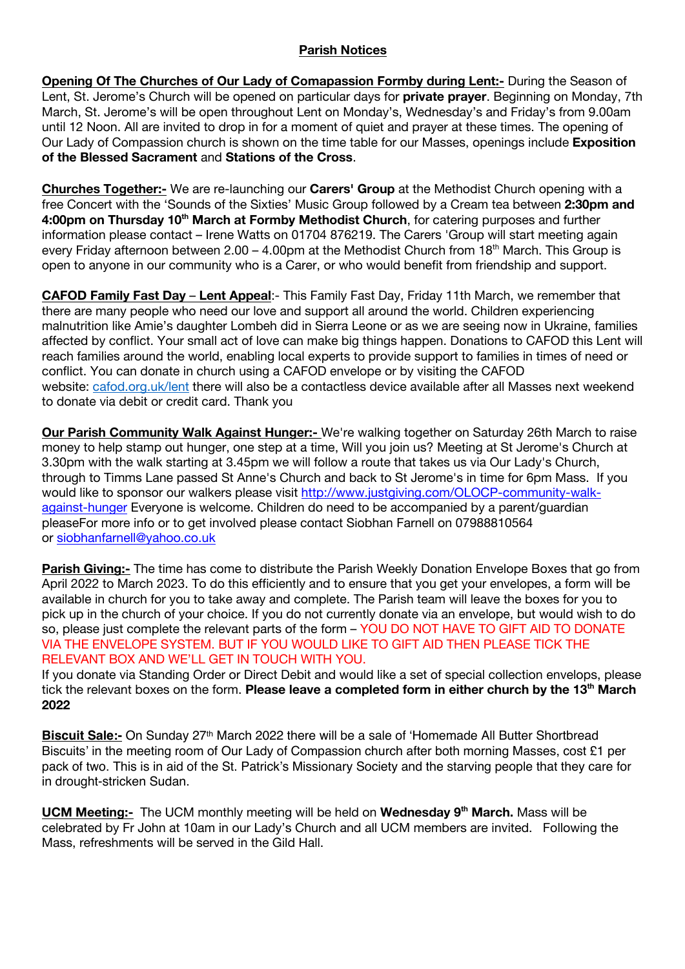#### **Parish Notices**

**Opening Of The Churches of Our Lady of Comapassion Formby during Lent:-** During the Season of Lent, St. Jerome's Church will be opened on particular days for **private prayer**. Beginning on Monday, 7th March, St. Jerome's will be open throughout Lent on Monday's, Wednesday's and Friday's from 9.00am until 12 Noon. All are invited to drop in for a moment of quiet and prayer at these times. The opening of Our Lady of Compassion church is shown on the time table for our Masses, openings include **Exposition of the Blessed Sacrament** and **Stations of the Cross**.

**Churches Together:-** We are re-launching our **Carers' Group** at the Methodist Church opening with a free Concert with the 'Sounds of the Sixties' Music Group followed by a Cream tea between **2:30pm and**  4:00pm on Thursday 10<sup>th</sup> March at Formby Methodist Church, for catering purposes and further information please contact – Irene Watts on 01704 876219. The Carers 'Group will start meeting again every Friday afternoon between 2.00 – 4.00pm at the Methodist Church from 18th March. This Group is open to anyone in our community who is a Carer, or who would benefit from friendship and support.

**CAFOD Family Fast Day** – **Lent Appeal**:- This Family Fast Day, Friday 11th March, we remember that there are many people who need our love and support all around the world. Children experiencing malnutrition like Amie's daughter Lombeh did in Sierra Leone or as we are seeing now in Ukraine, families affected by conflict. Your small act of love can make big things happen. Donations to CAFOD this Lent will reach families around the world, enabling local experts to provide support to families in times of need or conflict. You can donate in church using a CAFOD envelope or by visiting the CAFOD website: cafod.org.uk/lent there will also be a contactless device available after all Masses next weekend to donate via debit or credit card. Thank you

**Our Parish Community Walk Against Hunger:-** We're walking together on Saturday 26th March to raise money to help stamp out hunger, one step at a time, Will you join us? Meeting at St Jerome's Church at 3.30pm with the walk starting at 3.45pm we will follow a route that takes us via Our Lady's Church, through to Timms Lane passed St Anne's Church and back to St Jerome's in time for 6pm Mass. If you would like to sponsor our walkers please visit http://www.justgiving.com/OLOCP-community-walkagainst-hunger Everyone is welcome. Children do need to be accompanied by a parent/guardian pleaseFor more info or to get involved please contact Siobhan Farnell on 07988810564 or siobhanfarnell@yahoo.co.uk

**Parish Giving:-** The time has come to distribute the Parish Weekly Donation Envelope Boxes that go from April 2022 to March 2023. To do this efficiently and to ensure that you get your envelopes, a form will be available in church for you to take away and complete. The Parish team will leave the boxes for you to pick up in the church of your choice. If you do not currently donate via an envelope, but would wish to do so, please just complete the relevant parts of the form – YOU DO NOT HAVE TO GIFT AID TO DONATE VIA THE ENVELOPE SYSTEM. BUT IF YOU WOULD LIKE TO GIFT AID THEN PLEASE TICK THE RELEVANT BOX AND WE'LL GET IN TOUCH WITH YOU.

If you donate via Standing Order or Direct Debit and would like a set of special collection envelops, please tick the relevant boxes on the form. **Please leave a completed form in either church by the 13<sup>th</sup> March 2022**

Biscuit Sale:- On Sunday 27<sup>th</sup> March 2022 there will be a sale of 'Homemade All Butter Shortbread Biscuits' in the meeting room of Our Lady of Compassion church after both morning Masses, cost £1 per pack of two. This is in aid of the St. Patrick's Missionary Society and the starving people that they care for in drought-stricken Sudan.

**UCM Meeting:-** The UCM monthly meeting will be held on **Wednesday 9<sup>th</sup> March.** Mass will be celebrated by Fr John at 10am in our Lady's Church and all UCM members are invited. Following the Mass, refreshments will be served in the Gild Hall.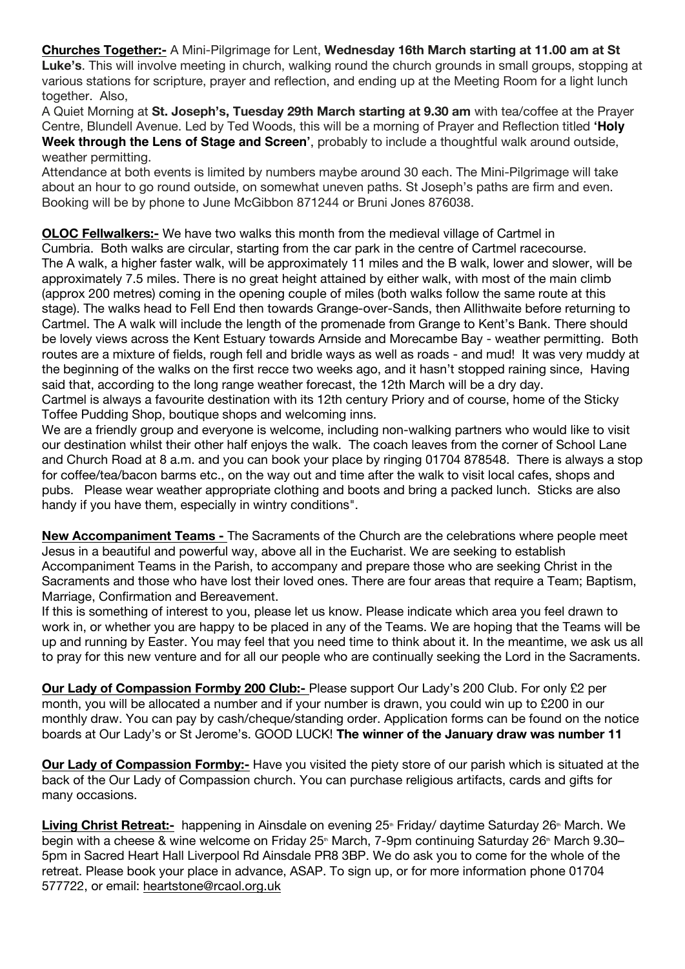**Churches Together:-** A Mini-Pilgrimage for Lent, **Wednesday 16th March starting at 11.00 am at St** 

**Luke's**. This will involve meeting in church, walking round the church grounds in small groups, stopping at various stations for scripture, prayer and reflection, and ending up at the Meeting Room for a light lunch together. Also,

A Quiet Morning at **St. Joseph's, Tuesday 29th March starting at 9.30 am** with tea/coffee at the Prayer Centre, Blundell Avenue. Led by Ted Woods, this will be a morning of Prayer and Reflection titled **'Holy Week through the Lens of Stage and Screen'**, probably to include a thoughtful walk around outside, weather permitting.

Attendance at both events is limited by numbers maybe around 30 each. The Mini-Pilgrimage will take about an hour to go round outside, on somewhat uneven paths. St Joseph's paths are firm and even. Booking will be by phone to June McGibbon 871244 or Bruni Jones 876038.

**OLOC Fellwalkers:-** We have two walks this month from the medieval village of Cartmel in Cumbria. Both walks are circular, starting from the car park in the centre of Cartmel racecourse. The A walk, a higher faster walk, will be approximately 11 miles and the B walk, lower and slower, will be approximately 7.5 miles. There is no great height attained by either walk, with most of the main climb (approx 200 metres) coming in the opening couple of miles (both walks follow the same route at this stage). The walks head to Fell End then towards Grange-over-Sands, then Allithwaite before returning to Cartmel. The A walk will include the length of the promenade from Grange to Kent's Bank. There should be lovely views across the Kent Estuary towards Arnside and Morecambe Bay - weather permitting. Both routes are a mixture of fields, rough fell and bridle ways as well as roads - and mud! It was very muddy at the beginning of the walks on the first recce two weeks ago, and it hasn't stopped raining since, Having said that, according to the long range weather forecast, the 12th March will be a dry day. Cartmel is always a favourite destination with its 12th century Priory and of course, home of the Sticky

Toffee Pudding Shop, boutique shops and welcoming inns.

We are a friendly group and everyone is welcome, including non-walking partners who would like to visit our destination whilst their other half enjoys the walk. The coach leaves from the corner of School Lane and Church Road at 8 a.m. and you can book your place by ringing 01704 878548. There is always a stop for coffee/tea/bacon barms etc., on the way out and time after the walk to visit local cafes, shops and pubs. Please wear weather appropriate clothing and boots and bring a packed lunch. Sticks are also handy if you have them, especially in wintry conditions".

**New Accompaniment Teams -** The Sacraments of the Church are the celebrations where people meet Jesus in a beautiful and powerful way, above all in the Eucharist. We are seeking to establish Accompaniment Teams in the Parish, to accompany and prepare those who are seeking Christ in the Sacraments and those who have lost their loved ones. There are four areas that require a Team; Baptism, Marriage, Confirmation and Bereavement.

If this is something of interest to you, please let us know. Please indicate which area you feel drawn to work in, or whether you are happy to be placed in any of the Teams. We are hoping that the Teams will be up and running by Easter. You may feel that you need time to think about it. In the meantime, we ask us all to pray for this new venture and for all our people who are continually seeking the Lord in the Sacraments.

**Our Lady of Compassion Formby 200 Club:-** Please support Our Lady's 200 Club. For only £2 per month, you will be allocated a number and if your number is drawn, you could win up to £200 in our monthly draw. You can pay by cash/cheque/standing order. Application forms can be found on the notice boards at Our Lady's or St Jerome's. GOOD LUCK! **The winner of the January draw was number 11**

**Our Lady of Compassion Formby:-** Have you visited the piety store of our parish which is situated at the back of the Our Lady of Compassion church. You can purchase religious artifacts, cards and gifts for many occasions.

Living Christ Retreat:- happening in Ainsdale on evening 25<sup>th</sup> Friday/ daytime Saturday 26<sup>th</sup> March. We begin with a cheese & wine welcome on Friday 25<sup>th</sup> March, 7-9pm continuing Saturday 26<sup>th</sup> March 9.30– 5pm in Sacred Heart Hall Liverpool Rd Ainsdale PR8 3BP. We do ask you to come for the whole of the retreat. Please book your place in advance, ASAP. To sign up, or for more information phone 01704 577722, or email: heartstone@rcaol.org.uk